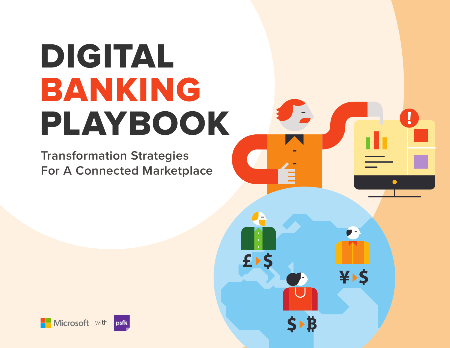# DIGITAL BANKING PLAYBOOK

Į

 $\bullet$ 

¥>\$

**Transformation Strategies For A Connected Marketplace**

 $f$ 

**S**▶₿



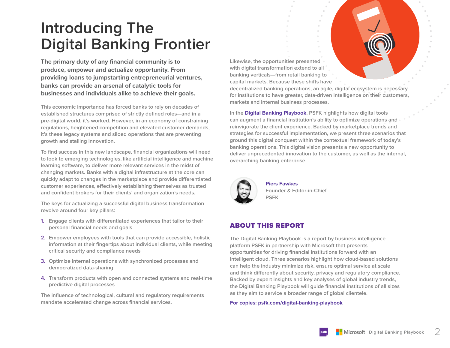## **Introducing The Digital Banking Frontier**

**The primary duty of any financial community is to produce, empower and actualize opportunity. From providing loans to jumpstarting entrepreneurial ventures, banks can provide an arsenal of catalytic tools for businesses and individuals alike to achieve their goals.** 

**This economic importance has forced banks to rely on decades of established structures comprised of strictly defined roles—and in a pre-digital world, it's worked. However, in an economy of constraining regulations, heightened competition and elevated customer demands, it's these legacy systems and siloed operations that are preventing growth and stalling innovation.**

**To find success in this new landscape, financial organizations will need to look to emerging technologies, like artificial intelligence and machine learning software, to deliver more relevant services in the midst of changing markets. Banks with a digital infrastructure at the core can quickly adapt to changes in the marketplace and provide differentiated customer experiences, effectively establishing themselves as trusted and confident brokers for their clients' and organization's needs.** 

**The keys for actualizing a successful digital business transformation revolve around four key pillars:**

- **1. Engage clients with differentiated experiences that tailor to their personal financial needs and goals**
- **2. Empower employees with tools that can provide accessible, holistic information at their fingertips about individual clients, while meeting critical security and compliance needs**
- **3. Optimize internal operations with synchronized processes and democratized data-sharing**
- **4. Transform products with open and connected systems and real-time predictive digital processes**

**The influence of technological, cultural and regulatory requirements mandate accelerated change across financial services.** 

**Likewise, the opportunities presented with digital transformation extend to all banking verticals—from retail banking to capital markets. Because these shifts have** 

**decentralized banking operations, an agile, digital ecosystem is necessary for institutions to have greater, data-driven intelligence on their customers, markets and internal business processes.**

**In the Digital Banking Playbook, PSFK highlights how digital tools can augment a financial institution's ability to optimize operations and reinvigorate the client experience. Backed by marketplace trends and strategies for successful implementation, we present three scenarios that ground this digital conquest within the contextual framework of today's banking operations. This digital vision presents a new opportunity to deliver unprecedented innovation to the customer, as well as the internal, overarching banking enterprise.** 



**Piers Fawkes Founder & Editor-in-Chief PSFK**

#### ABOUT THIS REPORT

**The Digital Banking Playbook is a report by business intelligence platform PSFK in partnership with Microsoft that presents opportunities for driving financial institutions forward with an intelligent cloud. Three scenarios highlight how cloud-based solutions can help the industry minimize risk, ensure optimal service at scale and think differently about security, privacy and regulatory compliance. Backed by expert insights and key analyses of global industry trends, the Digital Banking Playbook will guide financial institutions of all sizes as they aim to service a broader range of global clientele.**

**For copies: psfk.com/digital-banking-playbook**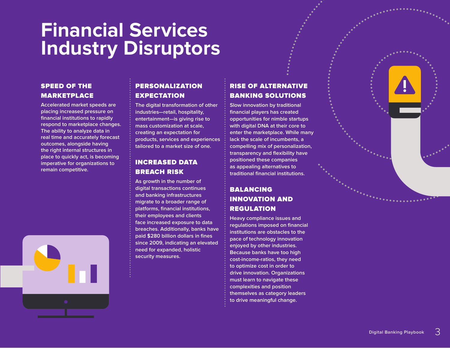## **Financial Services Industry Disruptors**

#### SPEED OF THE MARKETPLACE

**Accelerated market speeds are placing increased pressure on financial institutions to rapidly respond to marketplace changes. The ability to analyze data in real time and accurately forecast outcomes, alongside having the right internal structures in place to quickly act, is becoming imperative for organizations to remain competitive.**



#### PERSONALIZATION EXPECTATION

**The digital transformation of other industries—retail, hospitality, entertainment—is giving rise to mass customization at scale, creating an expectation for products, services and experiences tailored to a market size of one.**

#### INCREASED DATA BREACH RISK

**As growth in the number of digital transactions continues and banking infrastructures migrate to a broader range of platforms, financial institutions, their employees and clients face increased exposure to data breaches. Additionally, banks have paid \$280 billion dollars in fines since 2009, indicating an elevated need for expanded, holistic security measures.**

### RISE OF ALTERNATIVE BANKING SOLUTIONS

**Slow innovation by traditional financial players has created opportunities for nimble startups with digital DNA at their core to enter the marketplace. While many lack the scale of incumbents, a compelling mix of personalization, transparency and flexibility have positioned these companies as appealing alternatives to traditional financial institutions.**

#### BALANCING INNOVATION AND REGULATION

**Heavy compliance issues and regulations imposed on financial institutions are obstacles to the pace of technology innovation enjoyed by other industries. Because banks have too high cost-income-ratios, they need to optimize cost in order to drive innovation. Organizations must learn to navigate these complexities and position themselves as category leaders to drive meaningful change.**

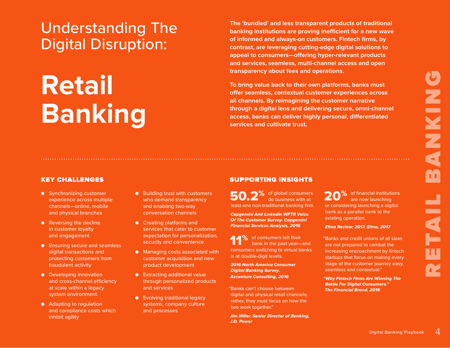## Understanding The Digital Disruption:

# **Retail Banking**

**The 'bundled' and less transparent products of traditional banking institutions are proving inefficient for a new wave of informed and always-on customers. Fintech firms, by contrast, are leveraging cutting-edge digital solutions to appeal to consumers—offering hyper-relevant products and services, seamless, multi-channel access and open transparency about fees and operations.**

**To bring value back to their own platforms, banks must offer seamless, contextual customer experiences across all channels. By reimagining the customer narrative through a digital lens and delivering secure, omni-channel access, banks can deliver highly personal, differentiated services and cultivate trust.**

- Synchronizing customer experience across multiple channels—online, mobile and physical branches
- Reversing the decline in customer loyalty and engagement
- Ensuring secure and seamless digital transactions and protecting customers from fraudulent activity
- Developing innovation and cross-channel efficiency at scale within a legacy system environment
- Adapting to regulation and compliance costs which inhibit agility

● Building trust with customers who demand transparency and enabling two-way conversation channels

- Creating platforms and services that cater to customer expectation for personalization, security and convenience
- Managing costs associated with customer acquisition and new product development
- Extracting additional value through personalized products and services
- Evolving traditional legacy systems, company culture and processes

#### KEY CHALLENGES AND RESERVE THE SUPPORTING INSIGHTS

of global consumers 50.2<sup>% of global consumers</sub></sup> least one non-traditional banking firm.

Capgemini And LinkedIn WFTR Voice Of The Customer Survey. Capgemini Financial Services Analysis, 2016

11% of consumers left their<br>bank in the past yearbank in the past year—and consumers switching to virtual banks is at double-digit levels.

2016 North America Consumer Digital Banking Survey. Accenture Consulting, 2016

"Banks can't choose between digital and physical retail channels; rather, they must focus on how the two work together."

Jim Miller. Senior Director of Banking, J.D. Power

20<sup>%</sup> of financial institutions<br>are now launching are now launching

or considering launching a digital bank as a parallel bank to the

"Banks and credit unions of all sizes are not prepared to combat the increasing encroachment by fintech startups that focus on making every stage of the customer journey easy,

"Why Fintech Firms Are Winning The Battle For Digital Consumers." The Financial Brand, 2016

Efma Review: 2017. Efma, 2017

seamless and contextual."

existing operation.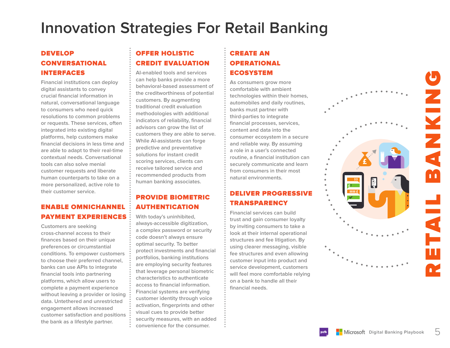## **Innovation Strategies For Retail Banking**

#### DEVELOP CONVERSATIONAL INTERFACES

**Financial institutions can deploy digital assistants to convey crucial financial information in natural, conversational language to consumers who need quick resolutions to common problems or requests. These services, often integrated into existing digital platforms, help customers make financial decisions in less time and are able to adapt to their real-time contextual needs. Conversational tools can also solve menial customer requests and liberate human counterparts to take on a more personalized, active role to their customer service.** 

#### ENABLE OMNICHANNEL PAYMENT EXPERIENCES

**Customers are seeking cross-channel access to their finances based on their unique preferences or circumstantial conditions. To empower customers to choose their preferred channel, banks can use APIs to integrate financial tools into partnering platforms, which allow users to complete a payment experience without leaving a provider or losing data. Untethered and unrestricted engagement allows increased customer satisfaction and positions the bank as a lifestyle partner.** 

### OFFER HOLISTIC CREDIT EVALUATION

**AI-enabled tools and services can help banks provide a more behavioral-based assessment of the creditworthiness of potential customers. By augmenting traditional credit evaluation methodologies with additional indicators of reliability, financial advisors can grow the list of customers they are able to serve. While AI-assistants can forge predictive and preventative solutions for instant credit scoring services, clients can receive tailored service and recommended products from human banking associates.**

#### PROVIDE BIOMETRIC AUTHENTICATION

**With today's uninhibited, always-accessible digitization, a complex password or security code doesn't always ensure optimal security. To better protect investments and financial portfolios, banking institutions are employing security features that leverage personal biometric characteristics to authenticate access to financial information. Financial systems are verifying customer identity through voice activation, fingerprints and other visual cues to provide better security measures, with an added convenience for the consumer.** 

## CREATE AN **OPERATIONAL** ECOSYSTEM

**As consumers grow more comfortable with ambient technologies within their homes, automobiles and daily routines, banks must partner with third-parties to integrate financial processes, services, content and data into the consumer ecosystem in a secure and reliable way. By assuming a role in a user's connected routine, a financial institution can securely communicate and learn from consumers in their most natural environments.**

### DELIVER PROGRESSIVE **TRANSPARENCY**

**Financial services can build trust and gain consumer loyalty by inviting consumers to take a look at their internal operational structures and fee litigation. By using clearer messaging, visible fee structures and even allowing customer input into product and service development, customers will feel more comfortable relying on a bank to handle all their financial needs.**

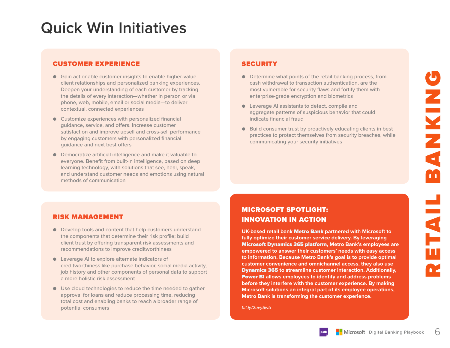## **Quick Win Initiatives**

#### CUSTOMER EXPERIENCE SECURITY

- Gain actionable customer insights to enable higher-value client relationships and personalized banking experiences. Deepen your understanding of each customer by tracking the details of every interaction—whether in person or via phone, web, mobile, email or social media—to deliver contextual, connected experiences
- $\bullet$  Customize experiences with personalized financial guidance, service, and offers. Increase customer satisfaction and improve upsell and cross-sell performance by engaging customers with personalized financial guidance and next best offers
- Democratize artificial intelligence and make it valuable to everyone. Benefit from built-in intelligence, based on deep learning technology, with solutions that see, hear, speak, and understand customer needs and emotions using natural methods of communication

- Determine what points of the retail banking process, from cash withdrawal to transaction authentication, are the most vulnerable for security flaws and fortify them with enterprise-grade encryption and biometrics
- Leverage AI assistants to detect, compile and aggregate patterns of suspicious behavior that could indicate financial fraud
- Build consumer trust by proactively educating clients in best practices to protect themselves from security breaches, while communicating your security initiatives

#### RISK MANAGEMENT

- Develop tools and content that help customers understand the components that determine their risk profile; build client trust by offering transparent risk assessments and recommendations to improve creditworthiness
- Leverage AI to explore alternate indicators of creditworthiness like purchase behavior, social media activity, job history and other components of personal data to support a more holistic risk assessment
- Use cloud technologies to reduce the time needed to gather approval for loans and reduce processing time, reducing total cost and enabling banks to reach a broader range of potential consumers

#### MICROSOFT SPOTLIGHT: INNOVATION IN ACTION

**UK-based retail bank** Metro Bank **partnered with Microsoft to fully optimize their customer service delivery. By leveraging**  Microsoft Dynamics 365 platform**, Metro Bank's employees are empowered to answer their customers' needs with easy access to information. Because Metro Bank's goal is to provide optimal customer convenience and omnichannel access, they also use**  Dynamics 365 **to streamline customer interaction. Additionally,**  Power BI **allows employees to identify and address problems before they interfere with the customer experience. By making Microsoft solutions an integral part of its employee operations, Metro Bank is transforming the customer experience.**

*bit.ly/2uvy5wb*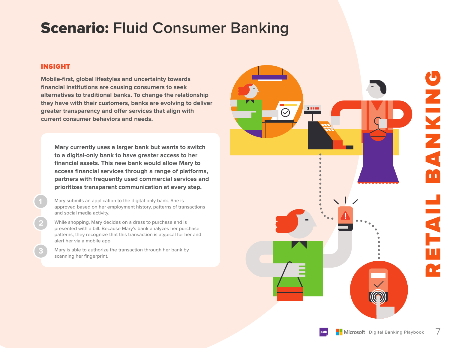## Scenario: **Fluid Consumer Banking**

#### INSIGHT

**2**

**3**

**Mobile-first, global lifestyles and uncertainty towards financial institutions are causing consumers to seek alternatives to traditional banks. To change the relationship they have with their customers, banks are evolving to deliver greater transparency and offer services that align with current consumer behaviors and needs.** 

**Mary currently uses a larger bank but wants to switch to a digital-only bank to have greater access to her financial assets. This new bank would allow Mary to access financial services through a range of platforms, partners with frequently used commercial services and prioritizes transparent communication at every step.** 

Mary submits an application to the digital-only bank. She is approved based on her employment history, patterns of transactions and social media activity.

While shopping, Mary decides on a dress to purchase and is presented with a bill. Because Mary's bank analyzes her purchase patterns, they recognize that this transaction is atypical for her and alert her via a mobile app.

Mary is able to authorize the transaction through her bank by scanning her fingerprint.

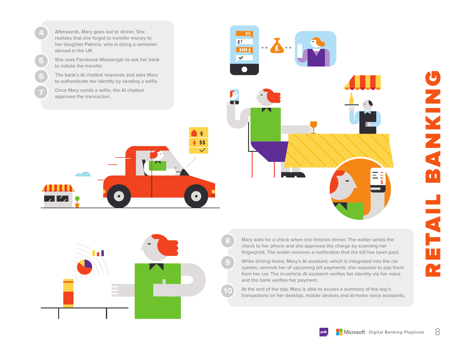Afterwards, Mary goes out to dinner. She realizes that she forgot to transfer money to her daughter Patricia, who is doing a semester abroad in the UK.

She uses Facebook Messenger to ask her bank to initiate the transfer.

The bank's AI chatbot responds and asks Mary to authenticate her identity by sending a selfie.

Once Mary sends a selfie, the AI chatbot approves the transaction.

**6**

**7**

**5**





ZNKIN M ETAI n.

Mary asks for a check when she finishes dinner. The waiter sends the check to her phone and she approves the charge by scanning her fingerprint. The waiter receives a notification that the bill has been paid.

**9**

**8**

While driving home, Mary's AI assistant, which is integrated into the car system, reminds her of upcoming bill payments; she requests to pay them from her car. The in-vehicle AI assistant verifies her identity via her voice and the bank verifies her payment.

At the end of the day, Mary is able to access a summary of the day's transactions on her desktop, mobile devices and at-home voice assistants.

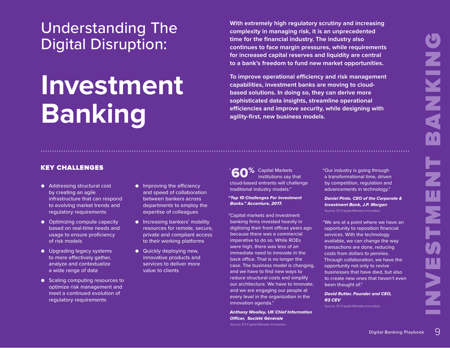## Understanding The Digital Disruption:

## **Investment Banking**

**With extremely high regulatory scrutiny and increasing complexity in managing risk, it is an unprecedented time for the financial industry. The industry also continues to face margin pressures, while requirements for increased capital reserves and liquidity are central to a bank's freedom to fund new market opportunities.**

**To improve operational efficiency and risk management capabilities, investment banks are moving to cloudbased solutions. In doing so, they can derive more sophisticated data insights, streamline operational efficiencies and improve security, while designing with agility-first, new business models.**

## KEY CHALLENGES WE ARE ALL THE SERIES WAS SERIES AND LOST AND LOST  $\sim 60\%$

- Addressing structural cost by creating an agile infrastructure that can respond to evolving market trends and regulatory requirements
- Optimizing compute capacity based on real-time needs and usage to ensure proficiency of risk models
- Upgrading legacy systems to more effectively gather, analyze and contextualize a wide range of data
- Scaling computing resources to optimize risk management and meet a continued evolution of regulatory requirements
- Improving the efficiency and speed of collaboration between bankers across departments to employ the expertise of colleagues
- Increasing bankers' mobility resources for remote, secure, private and compliant access to their working platforms
- Quickly deploying new, innovative products and services to deliver more value to clients

"<sup>c</sup> 2<sup>%</sup> Capital Markets institutions say that cloud-based entrants will challenge traditional industry models."

"Top 10 Challenges For Investment Banks." Accenture, 2017.

"Capital markets and investment banking firms invested heavily in digitizing their front offices years ago because there was a commercial imperative to do so. While ROEs were high, there was less of an immediate need to innovate in the back office. That is no longer the case. The business model is changing, and we have to find new ways to reduce structural costs and simplify our architecture. We have to innovate, and we are engaging our people at every level in the organization in the innovation agenda."

Anthony Woolley, UK Chief Information Officer, Société Générale Source: EY-Capital Markets-Innovation

"Our industry is going through a transformational time, driven by competition, regulation and advancements in technology."

Daniel Pinto. CEO of the Corporate & Investment Bank, J.P. Morgan Source: EY-Capital Markets-Innovation

"We are at a point where we have an opportunity to reposition financial services. With the technology available, we can change the way transactions are done, reducing costs from dollars to pennies. Through collaboration, we have the opportunity not only to revive businesses that have died, but also to create new ones that haven't even been thought of."

David Rutter. Founder and CEO, R3 CEV

Source: EY-Capital Markets-Innovation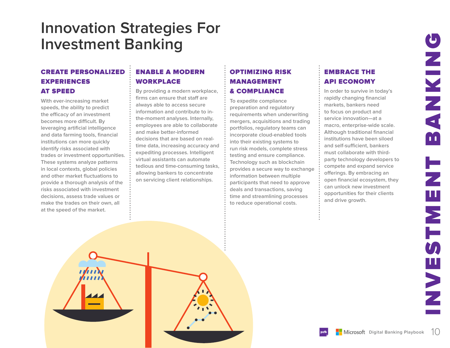## **Innovation Strategies For Investment Banking**

#### CREATE PERSONALIZED EXPERIENCES AT SPEED

**With ever-increasing market speeds, the ability to predict the efficacy of an investment becomes more difficult. By leveraging artificial intelligence and data farming tools, financial institutions can more quickly identify risks associated with trades or investment opportunities. These systems analyze patterns in local contexts, global policies and other market fluctuations to provide a thorough analysis of the risks associated with investment decisions, assess trade values or make the trades on their own, all at the speed of the market.**

## ENABLE A MODERN WORKPLACE

**By providing a modern workplace, firms can ensure that staff are always able to access secure information and contribute to inthe-moment analyses. Internally, employees are able to collaborate and make better-informed decisions that are based on realtime data, increasing accuracy and expediting processes. Intelligent virtual assistants can automate tedious and time-consuming tasks, allowing bankers to concentrate on servicing client relationships.**

#### OPTIMIZING RISK **MANAGEMENT** & COMPLIANCE

**To expedite compliance preparation and regulatory requirements when underwriting mergers, acquisitions and trading portfolios, regulatory teams can incorporate cloud-enabled tools into their existing systems to run risk models, complete stress testing and ensure compliance. Technology such as blockchain provides a secure way to exchange information between multiple participants that need to approve deals and transactions, saving time and streamlining processes to reduce operational costs.**

#### EMBRACE THE API ECONOMY

**In order to survive in today's rapidly changing financial markets, bankers need to focus on product and service innovation—at a macro, enterprise-wide scale. Although traditional financial institutions have been siloed and self-sufficient, bankers must collaborate with thirdparty technology developers to compete and expand service offerings. By embracing an open financial ecosystem, they can unlock new investment opportunities for their clients and drive growth.**

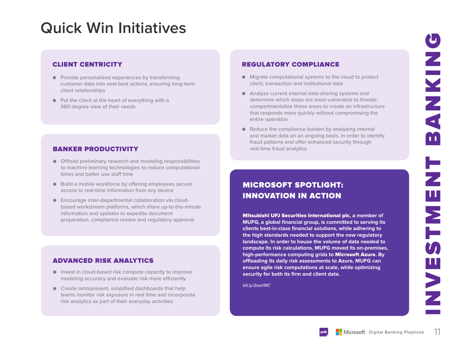## **Quick Win Initiatives**

#### CLIENT CENTRICITY

- Provide personalized experiences by transforming customer data into next-best actions, ensuring long-term client relationships
- Put the client at the heart of everything with a 360-degree view of their needs

#### **BANKER PRODUCTIVITY Example 2018** The real-time fraud analytics

- Offload preliminary research and modeling responsibilities to machine learning technologies to reduce computational times and better use staff time
- Build a mobile workforce by offering employees secure access to real-time information from any device
- Encourage inter-departmental collaboration via cloudbased workstream platforms, which share up-to-the-minute information and updates to expedite document preparation, compliance review and regulatory approval

#### ADVANCED RISK ANALYTICS

- Invest in cloud-based risk compute capacity to improve modeling accuracy and evaluate risk more efficiently
- Create omnipresent, simplified dashboards that help teams monitor risk exposure in real time and incorporate risk analytics as part of their everyday activities

#### REGULATORY COMPLIANCE

- Migrate computational systems to the cloud to protect client, transaction and institutional data
- Analyze current internal data-sharing systems and determine which steps are most vulnerable to threats; compartmentalize these areas to create an infrastructure that responds more quickly without compromising the entire operation
- $\bullet$  Reduce the compliance burden by analyzing internal and market data on an ongoing basis, in order to identify fraud patterns and offer enhanced security through

## MICROSOFT SPOTLIGHT: INNOVATION IN ACTION

Mitsubishi UFJ Securities International plc**, a member of MUFG, a global financial group, is committed to serving its clients best-in-class financial solutions, while adhering to the high standards needed to support the new regulatory landscape. In order to house the volume of data needed to compute its risk calculations, MUFG moved its on-premises, high-performance computing grids to** Microsoft Azure**. By offloading its daily risk assessments to Azure, MUFG can ensure agile risk computations at scale, while optimizing security for both its firm and client data.** 

*bit.ly/2wxI19C*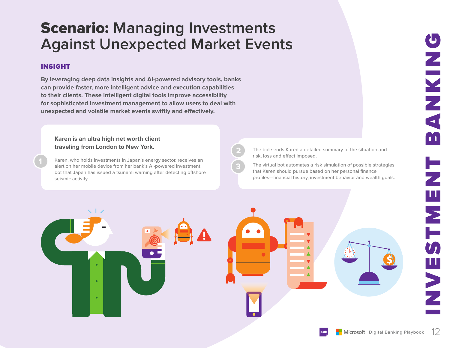## Scenario: **Managing Investments Against Unexpected Market Events**

#### INSIGHT

**By leveraging deep data insights and AI-powered advisory tools, banks can provide faster, more intelligent advice and execution capabilities to their clients. These intelligent digital tools improve accessibility for sophisticated investment management to allow users to deal with unexpected and volatile market events swiftly and effectively.**

**Karen is an ultra high net worth client traveling from London to New York.** 

**1** Karen, who holds investments in Japan's energy sector, receives an alert on her mobile device from her bank's AI-powered investment bot that Japan has issued a tsunami warning after detecting offshore seismic activity.

The bot sends Karen a detailed summary of the situation and risk, loss and effect imposed.

The virtual bot automates a risk simulation of possible strategies that Karen should pursue based on her personal finance profiles—financial history, investment behavior and wealth goals.



**2**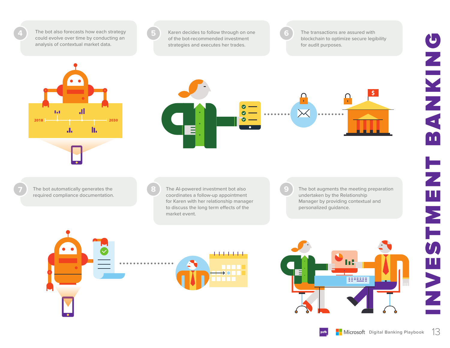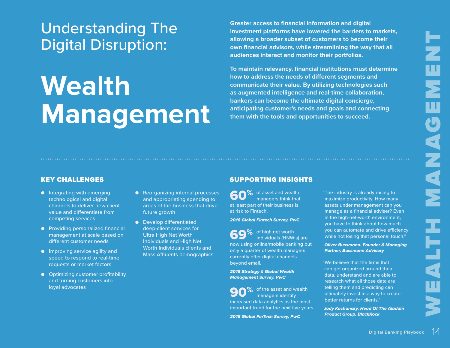# Ę w, Ш MANAG N E A LTH

## Understanding The Digital Disruption:

# **Wealth Management**

**Greater access to financial information and digital investment platforms have lowered the barriers to markets, allowing a broader subset of customers to become their own financial advisors, while streamlining the way that all audiences interact and monitor their portfolios.**

**To maintain relevancy, financial institutions must determine how to address the needs of different segments and communicate their value. By utilizing technologies such as augmented intelligence and real-time collaboration, bankers can become the ultimate digital concierge, anticipating customer's needs and goals and connecting them with the tools and opportunities to succeed.**

- Integrating with emerging technological and digital channels to deliver new client value and differentiate from competing services
- Providing personalized financial management at scale based on different customer needs
- Improving service agility and speed to respond to real-time requests or market factors
- Optimizing customer profitability and turning customers into loyal advocates
- Reorganizing internal processes and appropriating spending to areas of the business that drive future growth
- Develop differentiated deep-client services for Ultra High Net Worth Individuals and High Net Worth Individuals clients and Mass Affluents demographics

#### KEY CHALLENGES AND RESERVE THE SUPPORTING INSIGHTS

60<sup>%</sup> of asset and wealth<br>managers think that managers think that at least part of their business is at risk to Fintech.

2016 Global Fintech Survey, PwC

69% of high net worth individuals (HNWI individuals (HNWIs) are now using online/mobile banking but only a quarter of wealth managers currently offer digital channels beyond email.

2016 Strategy & Global Wealth Management Survey, PwC

**90**% of the asset and wealth<br>managers identify managers identify increased data analytics as the most important trend for the next five years.

2016 Global FinTech Survey, PwC

"The industry is already racing to maximize productivity. How many assets under management can you manage as a financial adviser? Even in the high-net-worth environment, you have to think about how much you can automate and drive efficiency while not losing that personal touch."

Oliver Bussmann. Founder & Managing Partner, Bussmann Advisory

"We believe that the firms that can get organized around their data, understand and are able to research what all those data are telling them and predicting can ultimately invest in a way to create better returns for clients."

Jody Kochansky. Head Of The Aladdin Product Group, BlackRock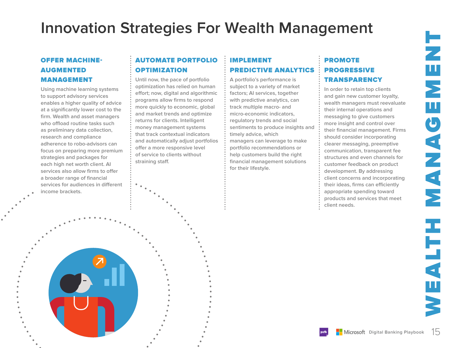## **Innovation Strategies For Wealth Management**

#### OFFER MACHINE-AUGMENTED MANAGEMENT

**Using machine learning systems to support advisory services enables a higher quality of advice at a significantly lower cost to the firm. Wealth and asset managers who offload routine tasks such as preliminary data collection, research and compliance adherence to robo-advisors can focus on preparing more premium strategies and packages for each high net worth client. AI services also allow firms to offer a broader range of financial services for audiences in different income brackets.** 

#### AUTOMATE PORTFOLIO OPTIMIZATION

**Until now, the pace of portfolio optimization has relied on human effort; now, digital and algorithmic programs allow firms to respond more quickly to economic, global and market trends and optimize returns for clients. Intelligent money management systems that track contextual indicators and automatically adjust portfolios offer a more responsive level of service to clients without straining staff.**

#### IMPLEMENT PREDICTIVE ANALYTICS

**A portfolio's performance is subject to a variety of market factors; AI services, together with predictive analytics, can track multiple macro- and micro-economic indicators, regulatory trends and social sentiments to produce insights and timely advice, which managers can leverage to make portfolio recommendations or help customers build the right financial management solutions for their lifestyle.** 

#### PROMOTE PROGRESSIVE **TRANSPARENCY**

**In order to retain top clients and gain new customer loyalty, wealth managers must reevaluate their internal operations and messaging to give customers more insight and control over their financial management. Firms should consider incorporating clearer messaging, preemptive communication, transparent fee structures and even channels for customer feedback on product development. By addressing client concerns and incorporating their ideas, firms can efficiently appropriate spending toward products and services that meet client needs.**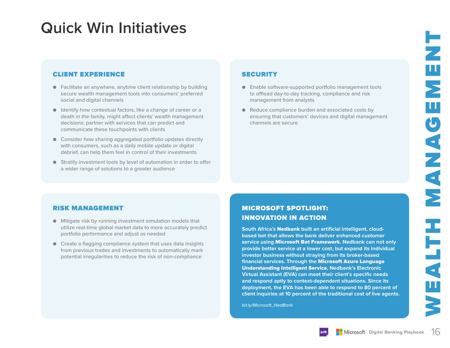## **Quick Win Initiatives**

#### CLIENT EXPERIENCE SECURITY

- Facilitate an anywhere, anytime client relationship by building secure wealth management tools into consumers' preferred social and digital channels
- Identify how contextual factors, like a change of career or a death in the family, might affect clients' wealth management decisions; partner with services that can predict and communicate these touchpoints with clients
- Consider how sharing aggregated portfolio updates directly with consumers, such as a daily mobile update or digital debrief, can help them feel in control of their investments
- Stratify investment tools by level of automation in order to offer a wider range of solutions to a greater audience

- Enable software-supported portfolio management tools to offload day-to-day tracking, compliance and risk management from analysts
- Reduce compliance burden and associated costs by ensuring that customers' devices and digital management channels are secure

#### RISK MANAGEMENT

- Mitigate risk by running investment simulation models that utilize real-time global market data to more accurately predict portfolio performance and adjust as needed
- Create a flagging compliance system that uses data insights from previous trades and investments to automatically mark potential irregularities to reduce the risk of non-compliance

#### MICROSOFT SPOTLIGHT: INNOVATION IN ACTION

**South Africa's** Nedbank **built an artificial intelligent, cloudbased bot that allows the bank deliver enhanced customer service using** Microsoft Bot Framework**. Nedbank can not only provide better service at a lower cost, but expand its individual investor business without straying from its broker-based financial services. Through the** Microsoft Azure Language Understanding Intelligent Service**, Nedbank's Electronic Virtual Assistant (EVA) can meet their client's specific needs and respond aptly to context-dependent situations. Since its deployment, the EVA has been able to respond to 80 percent of client inquiries at 10 percent of the traditional cost of live agents.** 

*bit.ly/Microsoft\_NedBank*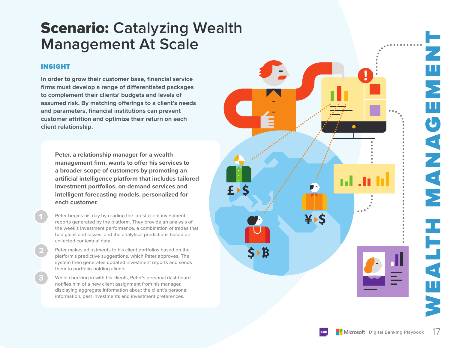## Scenario: **Catalyzing Wealth Management At Scale**

#### INSIGHT

**2**

**In order to grow their customer base, financial service firms must develop a range of differentiated packages to complement their clients' budgets and levels of assumed risk. By matching offerings to a client's needs and parameters, financial institutions can prevent customer attrition and optimize their return on each client relationship.**

**Peter, a relationship manager for a wealth management firm, wants to offer his services to a broader scope of customers by promoting an artificial intelligence platform that includes tailored investment portfolios, on-demand services and intelligent forecasting models, personalized for each customer.** 

Peter begins his day by reading the latest client investment reports generated by the platform. They provide an analysis of the week's investment performance, a combination of trades that had gains and losses, and the analytical predictions based on collected contextual data.

Peter makes adjustments to his client portfolios based on the platform's predictive suggestions, which Peter approves. The system then generates updated investment reports and sends them to portfolio-holding clients.

While checking in with his clients, Peter's personal dashboard notifies him of a new client assignment from his manager, displaying aggregate information about the client's personal information, past investments and investment preferences.

Ш

 $\bullet$ 

ANANA

NHTTMEN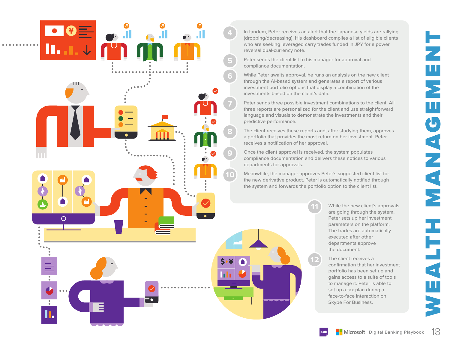![](_page_17_Figure_0.jpeg)

Peter sends the client list to his manager for approval and compliance documentation.

**6**

**7**

**8**

**9**

**10**

 $\circ$ 

**5**

While Peter awaits approval, he runs an analysis on the new client through the AI-based system and generates a report of various investment portfolio options that display a combination of the investments based on the client's data.

Peter sends three possible investment combinations to the client. All three reports are personalized for the client and use straightforward language and visuals to demonstrate the investments and their predictive performance.

The client receives these reports and, after studying them, approves a portfolio that provides the most return on her investment. Peter receives a notification of her approval.

Once the client approval is received, the system populates compliance documentation and delivers these notices to various departments for approvals.

Meanwhile, the manager approves Peter's suggested client list for the new derivative product. Peter is automatically notified through the system and forwards the portfolio option to the client list.

**11**

**12**

While the new client's approvals are going through the system, Peter sets up her investment parameters on the platform. The trades are automatically executed after other departments approve the document.

The client receives a confirmation that her investment portfolio has been set up and gains access to a suite of tools to manage it. Peter is able to set up a tax plan during a face-to-face interaction on Skype For Business.

Ц  $\overline{\phantom{a}}$ w CANAN  $\overline{\textbf{A}}$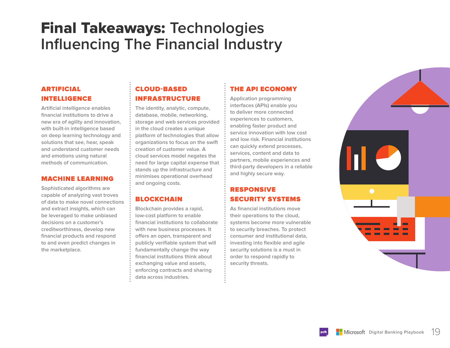## Final Takeaways: **Technologies Influencing The Financial Industry**

#### ARTIFICIAL INTELLIGENCE

**Artificial intelligence enables financial institutions to drive a new era of agility and innovation, with built-in intelligence based on deep learning technology and solutions that see, hear, speak and understand customer needs and emotions using natural methods of communication.**

#### MACHINE LEARNING

**Sophisticated algorithms are capable of analyzing vast troves of data to make novel connections and extract insights, which can be leveraged to make unbiased decisions on a customer's creditworthiness, develop new financial products and respond to and even predict changes in the marketplace.**

#### CLOUD-BASED INFRASTRUCTURE

**The identity, analytic, compute, database, mobile, networking, storage and web services provided in the cloud creates a unique platform of technologies that allow organizations to focus on the swift creation of customer value. A cloud services model negates the need for large capital expense that stands up the infrastructure and minimises operational overhead and ongoing costs.**

#### **BLOCKCHAIN**

**Blockchain provides a rapid, low-cost platform to enable financial institutions to collaborate with new business processes. It offers an open, transparent and publicly verifiable system that will fundamentally change the way financial institutions think about exchanging value and assets, enforcing contracts and sharing data across industries.**

#### THE API ECONOMY

**Application programming interfaces (APIs) enable you to deliver more connected experiences to customers, enabling faster product and service innovation with low cost and low risk. Financial institutions can quickly extend processes, services, content and data to partners, mobile experiences and third-party developers in a reliable and highly secure way.**

#### RESPONSIVE SECURITY SYSTEMS

**As financial institutions move their operations to the cloud, systems become more vulnerable to security breaches. To protect consumer and institutional data, investing into flexible and agile security solutions is a must in order to respond rapidly to security threats.** 

![](_page_18_Picture_13.jpeg)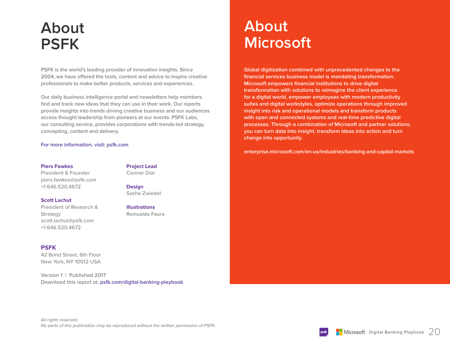## **About PSFK**

**PSFK is the world's leading provider of innovation insights. Since 2004, we have offered the tools, content and advice to inspire creative professionals to make better products, services and experiences.** 

**Our daily business intelligence portal and newsletters help members find and track new ideas that they can use in their work. Our reports provide insights into trends driving creative business and our audiences access thought leadership from pioneers at our events. PSFK Labs, our consulting service, provides corporations with trends-led strategy, concepting, content and delivery.**

#### **For more information, visit: psfk.com**

#### **Piers Fawkes**

President & Founder piers.fawkes@psfk.com +1 646.520.4672

#### **Project Lead**

Conner Dial

**Design** Sasha Zwiebel

**Illustrations Romualdo Faura**

#### **Scott Lachut**

President of Research & **Strategy** scott.lachut@psfk.com +1 646.520.4672

#### **PSFK**

42 Bond Street, 6th Floor New York, NY 10012 USA

**Version 1 | Published 2017 Download this report at: psfk.com/digital-banking-playbook**

## **About Microsoft**

**Global digitization combined with unprecedented changes to the financial services business model is mandating transformation. Microsoft empowers financial institutions to drive digital transformation with solutions to reimagine the client experience for a digital world, empower employees with modern productivity suites and digital workstyles, optimize operations through improved insight into risk and operational models and transform products with open and connected systems and real-time predictive digital processes. Through a combination of Microsoft and partner solutions, you can turn data into insight, transform ideas into action and turn change into opportunity.**

**enterprise.microsoft.com/en-us/industries/banking-and-capital-markets**